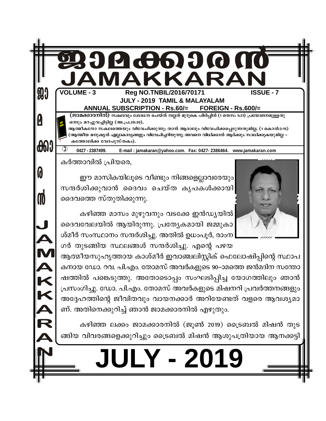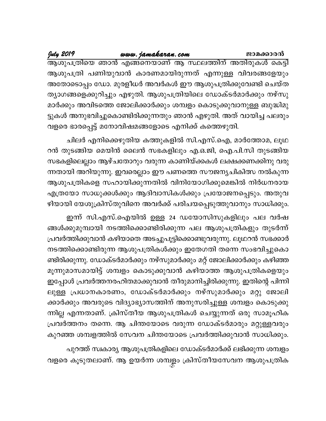# <u>www.jamakaran.com</u>

July 2019

ആശുപത്രിയെ ഞാൻ എങ്ങനെയാണ് ആ സ്ഥലത്തിന് അതിരുകൾ കെട്ടി ആശുപത്രി പണിയുവാൻ കാരണമായിരുന്നത് എന്നുള്ള വിവരങ്ങളേയും അതോടൊപ്പം ഡോ. മുരളീധർ അവർകൾ ഈ ആശുപത്രിക്കുവേണ്ടി ചെയ്ത ത്യാഗങ്ങളെക്കുറിച്ചും എഴുതി. ആശുപത്രിയിലെ ഡോക്ടർമാർക്കും നഴ്സു മാർക്കും അവിടത്തെ ജോലിക്കാർക്കും ശമ്പളം കൊടുക്കുവാനുള്ള ബുദ്ധിമു ട്ടുകൾ അനുഭവിച്ചുകൊണ്ടിരിക്കുന്നതും ഞാൻ എഴുതി. അത് വായിച്ച പലരും വളരെ ഭാരപ്പെട്ട് മനോവിഷമങ്ങളോടെ എനിക്ക് കത്തെഴുതി.

ചിലർ എനിക്കെഴുതിയ കത്തുകളിൽ സി.എസ്.ഐ, മാർത്തോമ, ലൂഥ റൻ തുടങ്ങിയ മെയിൻ ലൈൻ സഭകളിലും എ.ഒ.ജി, ഐ.പി.സി തുടങ്ങിയ സഭകളിലെല്ലാം ആഴ്ചതോറും വരുന്ന കാണിയ്ക്കകൾ ലക്ഷക്കണക്കിനു വരു ന്നതായി അറിയുന്നു. ഇവരെല്ലാം ഈ പണത്തെ സൗജന്യചികിത്സ നൽകുന്ന ആശുപത്രികളെ സഹായിക്കുന്നതിൽ വിനിയോഗിക്കുമെങ്കിൽ നിർധനരായ എത്രയോ സാധുക്കൾക്കും ആദിവാസികൾക്കും പ്രയോജനപ്പെടും. അതുവ ഴിയായി യേശുക്രിസ്തുവിനെ അവർക്ക് പരിചയപ്പെടുത്തുവാനും സാധിക്കും.

ഇന്ന് സി.എസ്.ഐയിൽ ഉള്ള 24 ഡയോസിസുകളിലും പല വർഷ ങ്ങൾക്കുമുമ്പായി നടത്തിക്കൊണ്ടിരിക്കുന്ന പല ആശുപത്രികളും തുടർന്ന് പ്രവർത്തിക്കുവാൻ കഴിയാതെ അടച്ചുപൂട്ടിക്കൊണ്ടുവരുന്നു. ലൂഥറൻ സഭക്കാർ നടത്തിക്കൊണ്ടിരുന്ന ആശുപത്രികൾക്കും ഇതേഗതി തന്നെ സംഭവിച്ചുകൊ ണ്ടിരിക്കുന്നു. ഡോക്ടർമാർക്കും നഴ്സുമാർക്കും മറ്റ് ജോലിക്കാർക്കും കഴിഞ്ഞ മൂന്നുമാസമായിട്ട് ശമ്പളം കൊടുക്കുവാൻ കഴിയാത്ത ആശുപത്രികളെയും ഇപ്പോൾ പ്രവർത്തനരഹിതമാക്കുവാൻ തീരുമാനിച്ചിരിക്കുന്നു. ഇതിന്റെ പിന്നി ലുള്ള പ്രധാനകാരണം, ഡോക്ടർമാർക്കും നഴ്സുമാർക്കും മറ്റു ജോലി ക്കാർക്കും അവരുടെ വിദ്യാഭ്യാസത്തിന് അനുസരിച്ചുള്ള ശമ്പളം കൊടുക്കു ന്നില്ല എന്നതാണ്. ക്രിസ്തീയ ആശുപത്രികൾ ചെയ്യുന്നത് ഒരു സാമൂഹിക പ്രവർത്തനം തന്നെ. ആ ചിന്തയോടെ വരുന്ന ഡോക്ടർമാരും മറ്റുള്ളവരും കുറഞ്ഞ ശമ്പളത്തിൽ സേവന ചിന്തയോടെ പ്രവർത്തിക്കുവാൻ സാധിക്കും.

പുറത്ത് സ്വകാര്യ ആശുപത്രികളിലെ ഡോക്ടർമാർക്ക് ലഭിക്കുന്ന ശമ്പളം വളരെ കൂടുതലാണ്. ആ ഉയർന്ന ശമ്പളം ക്രിസ്തീയസേവന ആശുപത്രിക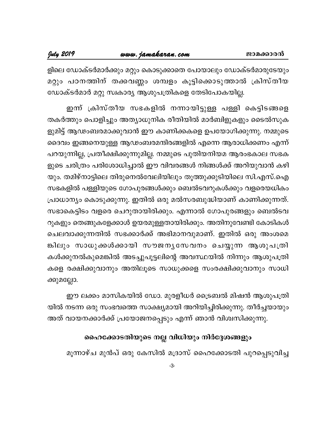ളിലെ ഡോക്ടർമാർക്കും മറ്റും കൊടുക്കാതെ പോയാലും ഡോക്ടർമാരുടേയും മറ്റും പഠനത്തിന് തക്കവണ്ണം ശമ്പളം കൂട്ടിക്കൊടുത്താൽ ക്രിസ്തീയ ഡോക്ടർമാർ മറ്റു സ്വകാര്യ ആശുപത്രികളെ തേടിപോകയില്ല.

ഇന്ന് ക്രിസ്തീയ സഭകളിൽ നന്നായിട്ടുള്ള പള്ളി കെട്ടിടങ്ങളെ തകർത്തും പൊളിച്ചും അത്യാധുനിക രീതിയിൽ മാർബിളുകളും ടൈൽസുക ളുമിട്ട് ആഢംബരമാക്കുവാൻ ഈ കാണിക്കകളെ ഉപയോഗിക്കുന്നു. നമ്മുടെ ദൈവം ഇങ്ങനെയുള്ള ആഢംബരമന്ദിരങ്ങളിൽ എന്നെ ആരാധിക്കണം എന്ന് പറയുന്നില്ല, പ്രതീക്ഷിക്കുന്നുമില്ല. നമ്മുടെ പുതിയനിയമ ആരംഭകാല സഭക ളുടെ ചരിത്രം പരിശോധിച്ചാൽ ഈ വിവരങ്ങൾ നിങ്ങൾക്ക് അറിയുവാൻ കഴി യും. തമിഴ്നാട്ടിലെ തിരുനെൽവേലിയിലും തൂത്തുക്കുടിയിലെ സി.എസ്.ഐ സഭകളിൽ പള്ളിയുടെ ഗോപുരങ്ങൾക്കും ബെൽടവറുകൾക്കും വളരെയധികം പ്രാധാന്യം കൊടുക്കുന്നു. ഇതിൽ ഒരു മൽസരബുദ്ധിയാണ് കാണിക്കുന്നത്. സഭാകെട്ടിടം വളരെ ചെറുതായിരിക്കും. എന്നാൽ ഗോപുരങ്ങളും ബെൽടവ റുകളും തെങ്ങുകളേക്കാൾ ഉയരമുള്ളതായിരിക്കും. അതിനുവേണ്ടി കോടികൾ ചെലവാക്കുന്നതിൽ സഭക്കാർക്ക് അഭിമാനവുമാണ്. ഇതിൽ ഒരു അംശമെ ങ്കിലും സാധുക്കൾക്കായി സൗജനൃസേവനം ചെയ്യുന്ന ആശുപത്രി കൾക്കുനൽകുമെങ്കിൽ അടച്ചുപൂട്ടലിന്റെ അവസ്ഥയിൽ നിന്നും ആശുപത്രി കളെ രക്ഷിക്കുവാനും അതിലൂടെ സാധുക്കളെ സംരക്ഷിക്കുവാനും സാധി ക്കുമല്ലോ.

ഈ ലക്കം മാസികയിൽ ഡോ. മുരളീധർ ട്രൈബൽ മിഷൻ ആശുപത്രി യിൽ നടന്ന ഒരു സംഭവത്തെ സാക്ഷ്യമായി അറിയിച്ചിരിക്കുന്നു. തീർച്ചയായും അത് വായനക്കാർക്ക് പ്രയോജനപ്പെടും എന്ന് ഞാൻ വിശ്വസിക്കുന്നു.

# ഹൈക്കോടതിയുടെ നല്ല വിധിയും നിർദ്ദേശങ്ങളും

മൂന്നാഴ്ച മുൻപ് ഒരു കേസിൽ മദ്രാസ് ഹൈക്കോടതി പുറപ്പെടുവിച്ച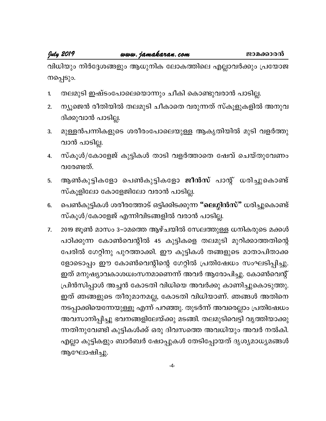July 2019

വിധിയും നിർദ്ദേശങ്ങളും ആധുനിക ലോകത്തിലെ എല്ലാവർക്കും പ്രയോജ നപ്പെടും.

- തലമുടി ഇഷ്ടംപോലെയൊന്നും ചീകി കൊണ്ടുവരാൻ പാടില്ല. 1.
- ന്യൂജെൻ രീതിയിൽ തലമുടി ചീകാതെ വരുന്നത് സ്കൂളുകളിൽ അനുവ  $2.$ ദിക്കുവാൻ പാടില്ല.
- മുള്ളൻപന്നികളുടെ ശരീരംപോലെയുള്ള ആകൃതിയിൽ മുടി വളർത്തു 3. വാൻ പാടില്ല.
- സ്കൂൾ/കോളേജ് കുട്ടികൾ താടി വളർത്താതെ ഷേവ് ചെയ്തുവേണം 4. വരേണ്ടത്.
- ആൺകുട്ടികളോ പെൺകുട്ടികളോ <mark>ജീൻസ്</mark> പാന്റ് ധരിച്ചുകൊണ്ട് 5. സ്കൂളിലോ കോളേജിലോ വരാൻ പാടില്ല.
- പെൺകുട്ടികൾ ശരീരത്തോട് ഒട്ടിക്കിടക്കുന്ന "ലെഗ്ഗിൻസ്" ധരിച്ചുകൊണ്ട് 6. സ്കൂൾ/കോളേജ് എന്നിവിടങ്ങളിൽ വരാൻ പാടില്ല.
- 2019 ജൂൺ മാസം 3–ാമത്തെ ആഴ്ചയിൽ സേലത്തുള്ള ധനികരുടെ മക്കൾ  $7.$ പഠിക്കുന്ന കോൺവെന്റിൽ 45 കുട്ടികളെ തലമുടി മുറിക്കാത്തതിന്റെ പേരിൽ ഗേറ്റിനു പുറത്താക്കി. ഈ കുട്ടികൾ തങ്ങളുടെ മാതാപിതാക്ക ളോടൊപ്പം ഈ കോൺവെന്റിന്റെ ഗേറ്റിൽ പ്രതിഷേധം സംഘടിപ്പിച്ചു. ഇത് മനുഷ്യാവകാശധ്വംസനമാണെന്ന് അവർ ആരോപിച്ചു. കോൺവെന്റ് പ്രിൻസിപ്പാൾ അച്ചൻ കോടതി വിധിയെ അവർക്കു കാണിച്ചുകൊടുത്തു. ഇത് ഞങ്ങളുടെ തീരുമാനമല്ല, കോടതി വിധിയാണ്. ഞങ്ങൾ അതിനെ നടപ്പാക്കിയെന്നേയുള്ളൂ എന്ന് പറഞ്ഞു. തുടർന്ന് അവരെല്ലാം പ്രതിഷേധം അവസാനിപ്പിച്ചു ഭവനങ്ങളിലേയ്ക്കു മടങ്ങി. തലമുടിവെട്ടി വൃത്തിയാക്കു ന്നതിനുവേണ്ടി കുട്ടികൾക്ക് ഒരു ദിവസത്തെ അവധിയും അവർ നൽകി. എല്ലാ കുട്ടികളും ബാർബർ ഷോപ്പുകൾ തേടിപ്പോയത് ദൃശ്യമാധ്യമങ്ങൾ ആഘോഷിച്ചു.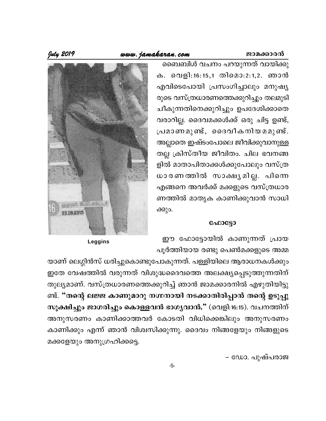#### www.jamakaran.com

July 2019

ബൈബിൾ വചനം പറയുന്നത് വായിക്കു ക. വെളി:16:15,1 തിമൊ:2:1,2. ഞാൻ എവിടെപോയി പ്രസംഗിച്ചാലും മനുഷ്യ രുടെ വസ്ത്രധാരണത്തെക്കുറിച്ചും തലമുടി ചീകുന്നതിനെക്കുറിച്ചും ഉപദേശിക്കാതെ വരാറില്ല. ദൈവമക്കൾക്ക് ഒരു ചിട്ട ഉണ്ട്, പ്രമാണമുണ്ട്, ദൈവീകനിയമമുണ്ട്. അല്ലാതെ ഇഷ്ടംപോലെ ജീവിക്കുവാനുള്ള തല്ല ക്രിസ്തീയ ജീവിതം. ചില ഭവനങ്ങ ളിൽ മാതാപിതാക്കൾക്കുപോലും വസ്ത്ര ധാരണത്തിൽ സാക്ഷ്യമില്ല. പിന്നെ എങ്ങനെ അവർക്ക് മക്കളുടെ വസ്ത്രധാര ണത്തിൽ മാതൃക കാണിക്കുവാൻ സാധി ക്കും.

# apph fillinii # **PR 08 2015**

#### ഫോട്ടോ

ഈ ഫോട്ടോയിൽ കാണുന്നത് പ്രായ പൂർത്തിയായ രണ്ടു പെൺമക്കളുടെ അമ്മ

Leggins

യാണ് ലെഗ്ഗിൻസ് ധരിച്ചുകൊണ്ടുപോകുന്നത്. പള്ളിയിലെ ആരാധനകൾക്കും ഇതേ വേഷത്തിൽ വരുന്നത് വിശുദ്ധദൈവത്തെ അലക്ഷ്യപ്പെടുത്തുന്നതിന് തുല്യമാണ്. വസ്ത്രധാരണത്തെക്കുറിച്ച് ഞാൻ ജാമക്കാരനിൽ എഴുതിയിട്ടു ണ്ട്. "തന്റെ ലജ്ജ കാണുമാറു നഗ്നനായി നടക്കാതിരിപ്പാൻ തന്റെ ഉടുപ്പു സൂക്ഷിച്ചും ജാഗരിച്ചും കൊള്ളവൻ ഭാഗൃവാൻ." (വെളി:16:15). വചനത്തിന് അനുസരണം കാണിക്കാത്തവർ കോടതി വിധിക്കെങ്കിലും അനുസരണം കാണിക്കും എന്ന് ഞാൻ വിശ്വസിക്കുന്നു. ദൈവം നിങ്ങളേയും നിങ്ങളുടെ മക്കളേയും അനുഗ്രഹിക്കട്ടെ.

- ഡോ. പുഷ്പരാജ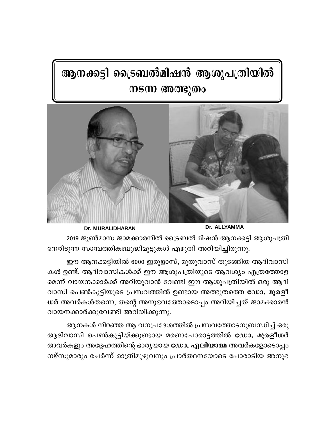# ആനക്കട്ടി ട്രൈബൽമിഷൻ ആശുപത്രിയിൽ നടന്ന അത്ഭുതം



**Dr. MURALIDHARAN** 

Dr. ALLYAMMA

2019 ജൂൺമാസ ജാമക്കാരനിൽ ട്രൈബൽ മിഷൻ ആനക്കട്ടി ആശുപത്രി നേരിടുന്ന സാമ്പത്തികബുദ്ധിമുട്ടുകൾ എഴുതി അറിയിച്ചിരുന്നു.

ഈ ആനക്കട്ടിയിൽ 6000 ഇരുളാസ്, മുതുവാസ് തുടങ്ങിയ ആദിവാസി കൾ ഉണ്ട്. ആദിവാസികൾക്ക് ഈ ആശുപത്രിയുടെ ആവശ്യം എത്രത്തോള മെന്ന് വായനക്കാർക്ക് അറിയുവാൻ വേണ്ടി ഈ ആശുപത്രിയിൽ ഒരു ആദി വാസി പെൺകുട്ടിയുടെ പ്രസവത്തിൽ ഉണ്ടായ അത്ഭുതത്തെ ഡോ. മുരളീ ധർ അവർകൾതന്നെ, തന്റെ അനുഭവത്തോടൊപ്പം അറിയിച്ചത് ജാമക്കാരൻ വായനക്കാർക്കുവേണ്ടി അറിയിക്കുന്നു.

ആനകൾ നിറഞ്ഞ ആ വനപ്രദേശത്തിൽ പ്രസവത്തോടനുബന്ധിച്ച് ഒരു ആദിവാസി പെൺകുട്ടിയ്ക്കുണ്ടായ മരണപോരാട്ടത്തിൽ ഡോ. മുരളീധർ അവർകളും അദ്ദേഹത്തിന്റെ ഭാര്യയായ ഡോ. ഏലിയാമ്മ അവർകളോടൊപ്പം നഴ്സുമാരും ചേർന്ന് രാത്രിമുഴുവനും പ്രാർത്ഥനയോടെ പോരാടിയ അനുഭ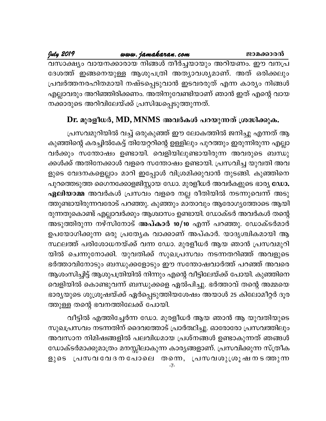# www.jamakaran.com

July 2019 വസാക്ഷ്യം വായനക്കാരായ നിങ്ങൾ തീർച്ചയായും അറിയണം. ഈ വനപ്ര ദേശത്ത് ഇങ്ങനെയുള്ള ആശുപത്രി അത്യാവശ്യമാണ്. അത് ഒരിക്കലും പ്രവർത്തനരഹിതമായി നഷ്ടപ്പെടുവാൻ ഇടവരരുത് എന്ന കാര്യം നിങ്ങൾ എല്ലാവരും അറിഞ്ഞിരിക്കണം. അതിനുവേണ്ടിയാണ് ഞാൻ ഇത് എന്റെ വായ നക്കാരുടെ അറിവിലേയ്ക്ക് പ്രസിദ്ധപ്പെടുത്തുന്നത്.

# Dr. മുരളീധർ, MD, MNMS അവർകൾ പറയുന്നത് ശ്രദ്ധിക്കുക.

പ്രസവമുറിയിൽ വച്ച് ഒരുകുഞ്ഞ് ഈ ലോകത്തിൽ ജനിച്ചു എന്നത് ആ കുഞ്ഞിന്റെ കരച്ചിൽകേട്ട് തിയേറ്ററിന്റെ ഉള്ളിലും പുറത്തും ഇരുന്നിരുന്ന എല്ലാ വർക്കും സന്തോഷം ഉണ്ടായി. വെളിയിലുണ്ടായിരുന്ന അവരുടെ ബന്ധു ക്കൾക്ക് അതിനേക്കാൾ വളരെ സന്തോഷം ഉണ്ടായി. പ്രസവിച്ച യുവതി അവ ളുടെ വേദനകളെല്ലാം മാറി ഇപ്പോൾ വിശ്രമിക്കുവാൻ തുടങ്ങി. കുഞ്ഞിനെ പുറത്തെടുത്ത ഗൈനക്കോളജിസ്റ്റായ ഡോ. മുരളീധർ അവർകളുടെ ഭാര്യ ഡോ. **ഏലിയാമ്മ** അവർകൾ പ്രസവം വളരെ നല്ല രീതിയിൽ നടന്നുവെന്ന് അടു ത്തുണ്ടായിരുന്നവരോട് പറഞ്ഞു. കുഞ്ഞും മാതാവും ആരോഗൃത്തോടെ ആയി രുന്നതുകൊണ്ട് എല്ലാവർക്കും ആശ്വാസം ഉണ്ടായി. ഡോക്ടർ അവർകൾ തന്റെ അടുത്തിരുന്ന നഴ്സിനോട് അപ്കാർ 10/10 എന്ന് പറഞ്ഞു. ഡോക്ടർമാർ ഉപയോഗിക്കുന്ന ഒരു പ്രത്യേക വാക്കാണ് അപ്കാർ. യാദൃശ്ചികമായി ആ സ്ഥലത്ത് പരിശോധനയ്ക്ക് വന്ന ഡോ. മുരളീധർ ആയ ഞാൻ പ്രസവമുറി യിൽ ചെന്നുനോക്കി. യുവതിക്ക് സുഖപ്രസവം നടന്നതറിഞ്ഞ് അവളുടെ ഭർത്താവിനോടും ബന്ധുക്കളോടും ഈ സന്തോഷവാർത്ത് പറഞ്ഞ് അവരെ ആശംസിച്ചിട്ട് ആശുപത്രിയിൽ നിന്നും എന്റെ വീട്ടിലേയ്ക്ക് പോയി. കുഞ്ഞിനെ വെളിയിൽ കൊണ്ടുവന്ന് ബന്ധുക്കളെ ഏൽപിച്ചു. ഭർത്താവ് തന്റെ അമ്മയെ ഭാര്യയുടെ ശുശ്രൂഷയ്ക്ക് ഏർപ്പെടുത്തിയശേഷം അയാൾ 25 കിലോമീറ്റർ ദൂര ത്തുള്ള തന്റെ ഭവനത്തിലേക്ക് പോയി.

വീട്ടിൽ എത്തിച്ചേർന്ന ഡോ. മുരളീധർ ആയ ഞാൻ ആ യുവതിയുടെ സുഖപ്രസവം നടന്നതിന് ദൈവത്തോട് പ്രാർത്ഥിച്ചു. ഓരോരോ പ്രസവത്തിലും അവസാന നിമിഷങ്ങളിൽ പലവിധമായ പ്രശ്നങ്ങൾ ഉണ്ടാകുന്നത് ഞങ്ങൾ ഡോക്ടർമാക്കുമാത്രം മനസ്സിലാകുന്ന കാര്യങ്ങളാണ്. പ്രസവിക്കുന്ന സ്ത്രീക ളുടെ പ്രസവവോദനപോലെ തന്നെ, പ്രസവശുശ്രൂഷനടത്തുന്ന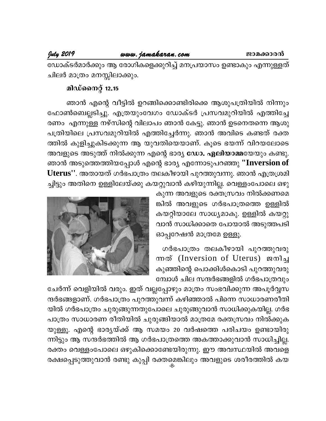ഡോക്ടർമാർക്കും ആ രോഗികളെക്കുറിച്ച് മനപ്രയാസം ഉണ്ടാകും എന്നുള്ളത് ചിലർ മാത്രം മനസ്സിലാക്കും.

# മിഡ്നൈറ്റ് 12.15

ഞാൻ എന്റെ വീട്ടിൽ ഉറങ്ങിക്കൊണ്ടിരിക്കെ ആശുപത്രിയിൽ നിന്നും ഫോൺബെല്ലടിച്ചു. എത്രയുംവേഗം ഡോക്ടർ പ്രസവമുറിയിൽ എത്തിച്ചേ രണം എന്നുള്ള നഴ്സിന്റെ വിലാപം ഞാൻ കേട്ടു. ഞാൻ ഉടനെതന്നെ ആശു പത്രിയിലെ പ്രസവമുറിയിൽ എത്തിച്ചേർന്നു. ഞാൻ അവിടെ കണ്ടത് രക്ത ത്തിൽ കുളിച്ചുകിടക്കുന്ന ആ യുവതിയെയാണ്. കൂടെ ഭയന്ന് വിറയലോടെ അവളുടെ അടുത്ത് നിൽക്കുന്ന എന്റെ ഭാര്യ ഡോ. ഏലിയാമ്മയേയും കണ്ടു. ഞാൻ അടുത്തെത്തിയപ്പോൾ എന്റെ ഭാര്യ എന്നോടുപറഞ്ഞു ''Inversion of Uterus''. അതായത് ഗർഭപാത്രം തലകീഴായി പുറത്തുവന്നു. ഞാൻ എത്രശ്രമി ച്ചിട്ടും അതിനെ ഉള്ളിലേയ്ക്കു കയറ്റുവാൻ കഴിയുന്നില്ല. വെള്ളംപോലെ ഒഴു

കുന്ന അവളുടെ രക്തസ്രവം നിൽക്കണമെ ങ്കിൽ അവളുടെ ഗർഭപാത്രത്തെ ഉള്ളിൽ കയറ്റിയാലേ സാധ്യമാകു. ഉള്ളിൽ കയറ്റു വാൻ സാധിക്കാതെ പോയാൽ അടുത്തപടി ഓപ്പറേഷൻ മാത്രമേ ഉള്ളൂ.

ഗർഭപാത്രം തലകീഴായി പുറത്തുവരു mത് (Inversion of Uterus) ജനിച്ച കുഞ്ഞിന്റെ പൊക്കിൾകൊടി പുറത്തുവരു മ്പോൾ ചില സന്ദർഭങ്ങളിൽ ഗർഭപാത്രവും



ചേർന്ന് വെളിയിൽ വരും. ഇത് വല്ലപ്പോഴും മാത്രം സംഭവിക്കുന്ന അപൂർവ്വസ ന്ദർഭങ്ങളാണ്. ഗർഭപാത്രം പുറത്തുവന്ന് കഴിഞ്ഞാൽ പിന്നെ സാധാരണരീതി യിൽ ഗർഭപാത്രം ചുരുങ്ങുന്നതുപോലെ ചുരുങ്ങുവാൻ സാധിക്കുകയില്ല. ഗർഭ പാത്രം സാധാരണ രീതിയിൽ ചുരുങ്ങിയാൽ മാത്രമേ രക്തസ്രവം നിൽക്കുക യുള്ളൂ. എന്റെ ഭാര്യയ്ക്ക് ആ സമയം 20 വർഷത്തെ പരിചയം ഉണ്ടായിരു ന്നിട്ടും ആ സന്ദർഭത്തിൽ ആ ഗർഭപാത്രത്തെ അകത്താക്കുവാൻ സാധിച്ചില്ല. രക്തം വെള്ളംപോലെ ഒഴുകിക്കൊണ്ടേയിരുന്നു. ഈ അവസ്ഥയിൽ അവളെ രക്ഷപ്പെടുത്തുവാൻ രണ്ടു കുപ്പി രക്തമെങ്കിലും അവളുടെ ശരീരത്തിൽ കയ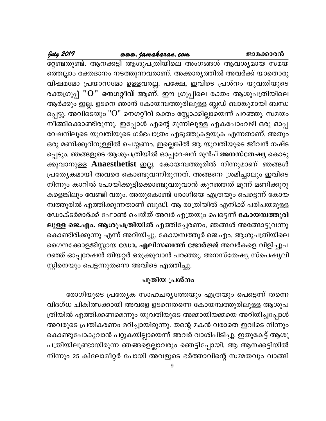## www.jamakaran.com

## July 2019

ഭറ്റണ്ടതുണ്ട്. ആനക്കട്ടി ആശുപത്രിയിലെ അംഗങ്ങൾ ആവശ്യമായ സമയ ത്തെല്ലാം രക്തദാനം നടത്തുന്നവരാണ്. അക്കാര്യത്തിൽ അവർക്ക് യാതൊരു വിഷമമോ പ്രയാസമോ ഉള്ളവരല്ല. പക്ഷേ, ഇവിടെ പ്രശ്നം യുവതിയുടെ രക്തഗ്രൂപ്പ് ''O'' <mark>നെഗറ്റീവ്</mark> ആണ്. ഈ ഗ്രൂപ്പിലെ രക്തം ആശുപത്രിയിലെ ആർക്കും ഇല്ല. ഉടനെ ഞാൻ കോയമ്പത്തൂരിലുള്ള ബ്ലഡ് ബാങ്കുമായി ബന്ധ പ്പെട്ടു. അവിടെയും "O" നെഗറ്റീവ് രക്തം സ്റ്റോക്കില്ലായെന്ന് പറഞ്ഞു. സമയം നീങ്ങിക്കൊണ്ടിരുന്നു. ഇപ്പോൾ എന്റെ മുന്നിലുള്ള ഏകപോംവഴി ഒരു ഓപ്പ റേഷനിലൂടെ യുവതിയുടെ ഗർഭപാത്രം എടുത്തുകളയുക എന്നതാണ്. അതും ഒരു മണിക്കൂറിനുള്ളിൽ ചെയ്യണം. ഇല്ലെങ്കിൽ ആ യുവതിയുടെ ജീവൻ നഷ്ട പ്പെടും. ഞങ്ങളുടെ ആശുപത്രിയിൽ ഓപ്പറേഷന് മുൻപ് അനസ്തേഷ്യ കൊടു ക്കുവാനുള്ള Anaesthetist ഇല്ല. കോയമ്പത്തൂരിൽ നിന്നുമാണ് ഞങ്ങൾ പ്രത്യേകമായി അവരെ കൊണ്ടുവന്നിരുന്നത്. അങ്ങനെ ശ്രമിച്ചാലും ഇവിടെ നിന്നും കാറിൽ പോയിക്കൂട്ടിക്കൊണ്ടുവരുവാൻ കുറഞ്ഞത് മൂന്ന് മണിക്കൂറു കളെങ്കിലും വേണ്ടി വരും. അതുകൊണ്ട് രോഗിയെ എത്രയും പെട്ടെന്ന് കോയ മ്പത്തൂരിൽ എത്തിക്കുന്നതാണ് ബുദ്ധി. ആ രാത്രിയിൽ എനിക്ക് പരിചയമുള്ള ഡോക്ടർമാർക്ക് ഫോൺ ചെയ്ത് അവർ എത്രയും പെട്ടെന്ന് **കോയമ്പത്തൂരി** ലുള്ള ജെ.എം. ആശുപത്രിയിൽ എത്തിച്ചേരണം, ഞങ്ങൾ അങ്ങോട്ടുവന്നു കൊണ്ടിരിക്കുന്നു എന്ന് അറിയിച്ചു. കോയമ്പത്തൂർ ജെ.എം. ആശുപത്രിയിലെ ഗൈനക്കോളജിസ്റ്റായ <mark>ഡോ. എലിസബത്ത് ജോർജ്ജ്</mark> അവർകളെ വിളിച്ചുപ റഞ്ഞ് ഓപ്പറേഷൻ തിയറ്റർ ഒരുക്കുവാൻ പറഞ്ഞു. അനസ്തേഷ്യ സ്പെഷ്യലി സ്റ്റിനെയും പെട്ടന്നുതന്നെ അവിടെ എത്തിച്ചു.

## പുതിയ പ്രശ്നം

രോഗിയുടെ പ്രത്യേക സാഹചര്യത്തേയും എത്രയും പെട്ടെന്ന് തന്നെ വിദഗ്ധ ചികിത്സക്കായി അവളെ ഉടനെതന്നെ കോയമ്പത്തൂരിലുള്ള ആശുപ ത്രിയിൽ എത്തിക്കണമെന്നും യുവതിയുടെ അമ്മായിയമ്മയെ അറിയിച്ചപ്പോൾ അവരുടെ പ്രതികരണം മറിച്ചായിരുന്നു. തന്റെ മകൻ വരാതെ ഇവിടെ നിന്നും കൊണ്ടുപോകുവാൻ പറ്റുകയില്ലായെന്ന് അവർ വാശിപിടിച്ചു. ഇതുകേട്ട് ആശു പത്രിയിലുണ്ടായിരുന്ന ഞങ്ങളെല്ലാവരും ഞെട്ടിപ്പോയി. ആ ആനക്കട്ടിയിൽ നിന്നും 25 കിലോമീറ്റർ പോയി അവളുടെ ഭർത്താവിന്റെ സമ്മതവും വാങ്ങി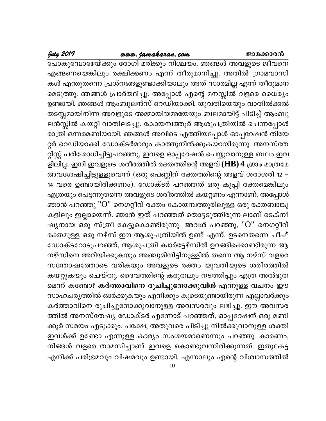#### www.jamakaran.com

## July 2019

പോകുമ്പോഴേയ്ക്കും രോഗി മരിക്കും നിശ്ചയം. ഞങ്ങൾ അവളുടെ ജീവനെ എങ്ങനെയെങ്കിലും രക്ഷിക്കണം എന്ന് തീരുമാനിച്ചു. അതിൽ ഗ്രാമവാസി കൾ എന്തുതന്നെ പ്രശ്നങ്ങളുണ്ടാക്കിയാലും അത് സാരമില്ല എന്ന് തീരുമാന മെടുത്തു. ഞങ്ങൾ പ്രാർത്ഥിച്ചു. അപ്പോൾ എന്റെ മനസ്സിൽ വളരെ ധൈര്യം ഉണ്ടായി. ഞങ്ങൾ ആംബുലൻസ് റെഡിയാക്കി. യുവതിയെയും വാതിൽക്കൽ തടസ്സമായിനിന്ന അവളുടെ അമ്മായിയമ്മയേയും ബലമായിട്ട് പിടിച്ച് ആംബു ലൻസ്സിൽ കയറ്റി വാതിലടച്ചു. കോയമ്പത്തൂർ ആശുപത്രിയിൽ ചെന്നപ്പോൾ രാത്രി ഒന്നരമണിയായി. ഞങ്ങൾ അവിടെ എത്തിയപ്പോൾ ഓപ്പറേഷൻ തിയേ റ്റർ റെഡിയാക്കി ഡോക്ടർമാരും കാത്തുനിൽക്കുകയായിരുന്നു. അനസ്തേ റ്റിസ്റ്റ് പരിശോധിച്ചിട്ടുപറഞ്ഞു, ഇവളെ ഓപ്പറേഷൻ ചെയ്യുവാനുള്ള ബലം ഇവ ളിലില്ല. ഇനി ഇവളുടെ ശരീരത്തിൽ രക്തത്തിന്റെ അളവ് ( $\rm{HB}$ ) 4 ശ്രാം മാത്രമേ അവശേഷിച്ചിട്ടുള്ളുവെന്ന് (ഒരു പെണ്ണിന് രക്തത്തിന്റെ അളവ് ശരാശരി 12 – 14 വരെ ഉണ്ടായിരിക്കണം). ഡോക്ടർ പറഞ്ഞത് ഒരു കുപ്പി രക്തമെങ്കിലും എത്രയും പെട്ടന്നുതന്നെ അവളുടെ ശരീരത്തിൽ കയറ്റണം എന്നാണ്. അപ്പോൾ ഞാൻ പറഞ്ഞു "O" നെഗറ്റീവ് രക്തം കോയമ്പത്തൂരിലുള്ള ഒരു രക്തബാങ്കു കളിലും ഇല്ലായെന്ന്. ഞാൻ ഇത് പറഞ്ഞത് തൊട്ടടുത്തിരുന്ന ലാബ് ടെക്നീ ഷ്യനായ ഒരു സ്ത്രീ കേട്ടുകൊണ്ടിരുന്നു. അവൾ പറഞ്ഞു, "O" നെഗറ്റീവ് രക്തമുള്ള ഒരു നഴ്സ് ഈ ആശുപത്രിയിൽ ഉണ്ട് എന്ന്. ഉടനെതന്നെ ചീഫ് ഡോക്ടറോടുപറഞ്ഞ്, ആശുപത്രി ക്വാർട്ടേഴ്സിൽ ഉറങ്ങിക്കൊണ്ടിരുന്ന ആ നഴ്സിനെ അറിയിക്കുകയും അഞ്ചുമിനിട്ടിനുള്ളിൽ തന്നെ ആ നഴ്സ് വളരെ സന്തോഷത്തോടെ വരികയും അവളുടെ രക്തം യുവതിയുടെ ശരീരത്തിൽ കയറ്റുകയും ചെയ്തു. ദൈവത്തിന്റെ കരുതലും നടത്തിപ്പും എത്ര അൽഭുത മെന്ന് കണ്ടോ? കർത്താവിനെ രുചിച്ചുനോക്കുവിൻ എന്നുള്ള വചനം ഈ സാഹചര്യത്തിൽ ഓർക്കുകയും എനിക്കും കൂടെയുണ്ടായിരുന്ന എല്ലാവർക്കും കർത്താവിനെ രുചിച്ചുനോക്കുവാനുള്ള അവസരവും ലഭിച്ചു. ഈ അവസര ത്തിൽ അനസ്തേഷ്യ ഡോക്ടർ എന്നോട് പറഞ്ഞത്, ഓപ്പറേഷന് ഒരു മണി ക്കൂർ സമയം എടുക്കും. പക്ഷേ, അതുവരെ പിടിച്ചു നിൽക്കുവാനുള്ള ശക്തി ഇവൾക്ക് ഉണ്ടോ എന്നുള്ള കാര്യം സംശയമാണെന്നും പറഞ്ഞു. കാരണം, നിങ്ങൾ വളരെ താമസിച്ചാണ് ഇവളെ കൊണ്ടുവന്നിരിക്കുന്നത്. ഇതുകേട്ട എനിക്ക് പരിഭ്രമവും വിഷമവും ഉണ്ടായി. എന്നാലും എന്റെ വിശ്വാസത്തിൽ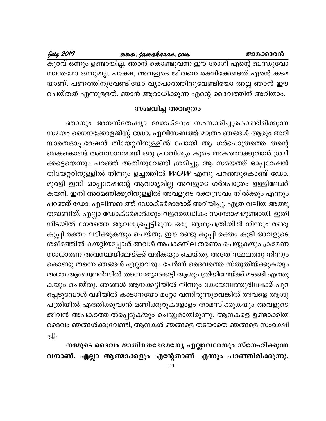#### www.jamakaran.com

July 2019

കുറവ് ഒന്നും ഉണ്ടായില്ല. ഞാൻ കൊണ്ടുവന്ന ഈ രോഗി എന്റെ ബന്ധുവോ സ്വന്തമോ ഒന്നുമല്ല. പക്ഷേ, അവളുടെ ജീവനെ രക്ഷിക്കേണ്ടത് എന്റെ കടമ യാണ്. പണത്തിനുവേണ്ടിയോ വ്യാപാരത്തിനുവേണ്ടിയോ അല്ല ഞാൻ ഈ ചെയ്തത് എന്നുള്ളത്, ഞാൻ ആരാധിക്കുന്ന എന്റെ ദൈവത്തിന് അറിയാം.

#### സംഭവിച്ച അത്ഭുതം

ഞാനും അനസ്തേഷ്യാ ഡോക്ടറും സംസാരിച്ചുകൊണ്ടിരിക്കുന്ന സമയം ഗൈനക്കോളജിസ്റ്റ് ഡോ. എലിസബത്ത് മാത്രം ഞങ്ങൾ ആരും അറി യാതെഓപ്പറേഷൻ തിയേറ്ററിനുള്ളിൽ പോയി ആ ഗർഭപാത്രത്തെ തന്റെ കൈകൊണ്ട് അവസാനമായി ഒരു പ്രാവിശ്യം കൂടെ അകത്താക്കുവാൻ ശ്രമി ക്കട്ടെയെന്നും പറഞ്ഞ് അതിനുവേണ്ടി ശ്രമിച്ചു. ആ സമയത്ത് ഓപ്പറേഷൻ തിയേറ്ററിനുള്ളിൽ നിന്നും ഉച്ചത്തിൽ  $WOW$  എന്നു പറഞ്ഞുകൊണ്ട് ഡോ. മുരളി ഇനി ഓപ്പറേഷന്റെ ആവശ്യമില്ല അവളുടെ ഗർഭപാത്രം ഉള്ളിലേക്ക് കയറി, ഇനി അരമണിക്കൂറിനുള്ളിൽ അവളുടെ രക്തസ്രവം നിൽക്കും എന്നും പറഞ്ഞ് ഡോ. എലിസബത്ത് ഡോക്ടർമാരോട് അറിയിച്ചു. എത്ര വലിയ അത്ഭു തമാണിത്. എല്ലാ ഡോക്ടർമാർക്കും വളരെയധികം സന്തോഷമുണ്ടായി. ഇതി നിടയിൽ നേരത്തെ ആവശ്യപ്പെട്ടിരുന്ന ഒരു ആശുപത്രിയിൽ നിന്നും രണ്ടു കുപ്പി രക്തം ലഭിക്കുകയും ചെയ്തു. ഈ രണ്ടു കുപ്പി രക്തം കൂടി അവളുടെ ശരീരത്തിൽ കയറ്റിയപ്പോൾ അവൾ അപകടനില തരണം ചെയ്യുകയും ക്രമേണ സാധാരണ അവസ്ഥയിലേയ്ക്ക് വരികയും ചെയ്തു. അതേ സ്ഥലത്തു നിന്നും കൊണ്ടു തന്നെ ഞങ്ങൾ എല്ലാവരും ചേർന്ന് ദൈവത്തെ സ്തുതിയ്ക്കുകയും അതേ ആംബുലൻസിൽ തന്നെ ആനക്കട്ടി ആശുപത്രിയിലേയ്ക്ക് മടങ്ങി എത്തു കയും ചെയ്തു. ഞങ്ങൾ ആനക്കട്ടിയിൽ നിന്നും കോയമ്പത്തൂരിലേക്ക് പുറ പ്പെടുമ്പോൾ വഴിയിൽ കാട്ടാനയോ മറ്റോ വന്നിരുന്നുവെങ്കിൽ അവളെ ആശു പത്രിയിൽ എത്തിക്കുവാൻ മണിക്കൂറുകളോളം താമസിക്കുകയും അവളുടെ ജീവൻ അപകടത്തിൽപ്പെടുകയും ചെയ്യുമായിരുന്നു. ആനകളെ ഉണ്ടാക്കിയ ദൈവം ഞങ്ങൾക്കുവേണ്ടി, ആനകൾ ഞങ്ങളെ തടയാതെ ഞങ്ങളെ സംരക്ഷി  $-2$ .

നമ്മുടെ ദൈവം ജാതിമതഭേദമന്യേ എല്ലാവരേയും സ്നേഹിക്കുന്ന വനാണ്. എല്ലാ ആത്മാക്കളും എന്റേതാണ് എന്നും പറഞ്ഞിരിക്കുന്നു.  $-11-$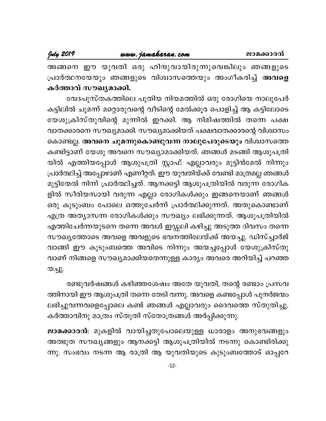അങ്ങനെ ഈ യുവതി ഒരു ഹിന്ദുവായിരുന്നുവെങ്കിലും ഞങ്ങളുടെ പ്രാർത്ഥനയേയും ഞങ്ങളുടെ വിശ്വാസത്തെയും അംഗീകരിച്ച് അവളെ കർത്താവ് സൗഖ്യമാക്കി.

വേദപുസ്തകത്തിലെ പുതിയ നിയമത്തിൽ ഒരു രോഗിയെ നാലുപേർ കട്ടിലിൽ ചുമന്ന് മറ്റൊരുവന്റെ വീടിന്റെ മേൽക്കൂര പൊളിച്ച് ആ കട്ടിലോടെ യേശുക്രിസ്തുവിന്റെ മുന്നിൽ ഇറക്കി. ആ നിമിഷത്തിൽ തന്നെ പക്ഷ വാതക്കാരനെ സൗഖ്യമാക്കി. സൗഖ്യമാക്കിയത് പക്ഷവാതക്കാരന്റെ വിശ്വാസം കൊണ്ടല്ല. അവനെ ചുമന്നുകൊണ്ടുവന്ന നാലുപേരുടെയും വിശ്വാസത്തെ കണ്ടിട്ടാണ് യേശു അവനെ സൗഖ്യാമാക്കിയത്. ഞങ്ങൾ മടങ്ങി ആശുപത്രി യിൽ എത്തിയപ്പോൾ ആശുപത്രി സ്റ്റാഫ് എല്ലാവരും മുട്ടിൻമേൽ നിന്നും പ്രാർത്ഥിച്ച് അപ്പോഴാണ് എണീറ്റത്. ഈ യുവതിയ്ക്ക് വേണ്ടി മാത്രമല്ല ഞങ്ങൾ മുട്ടിന്മേൽ നിന്ന് പ്രാർത്ഥിച്ചത്. ആനക്കട്ടി ആശുപത്രിയിൽ വരുന്ന രോഗിക ളിൽ സീരിയസായി വരുന്ന എല്ലാ രോഗികൾക്കും ഇങ്ങനെയാണ് ഞങ്ങൾ ഒരു കുടുംബം പോലെ ഒത്തുചേർന്ന് പ്രാർത്ഥിക്കുന്നത്. അതുകൊണ്ടാണ് എത്ര അത്യാസന്ന രോഗികൾക്കും സൗഖ്യം ലഭിക്കുന്നത്. ആശുപത്രിയിൽ എത്തിചേർന്നയുടനെ തന്നെ അവൾ ഇഡ്ഡലി കഴിച്ചു അടുത്ത ദിവസം തന്നെ സൗഖ്യത്തോടെ അവളെ അവളുടെ ഭവനത്തിലേയ്ക്ക് അയച്ചു. ഡിസ്ച്ചാർജ് വാങ്ങി ഈ കുടുംബത്തെ അവിടെ നിന്നും അയച്ചപ്പോൾ യേശുക്രിസ്തു വാണ് നിങ്ങളെ സൗഖ്യമാക്കിയതെന്നുള്ള കാര്യം അവരെ അറിയിച്ച് പറഞ്ഞ യച്ചു.

രണ്ടുവർഷങ്ങൾ കഴിഞ്ഞശേഷം അതേ യുവതി, തന്റെ രണ്ടാം പ്രസവ ത്തിനായി ഈ ആശുപത്രി തന്നെ തേടി വന്നു. അവളെ കണ്ടപ്പോൾ പുനർജന്മം ലഭിച്ചുവന്നവളെപ്പോലെ കണ്ട് ഞങ്ങൾ എല്ലാവരും ദൈവത്തെ സ്തുതിച്ചു. കർത്താവിനു മാത്രം സ്തുതി സ്തോത്രങ്ങൾ അർപ്പിക്കുന്നു.

ജാമക്കാരൻ: മുകളിൽ വായിച്ചതുപോലെയുള്ള ധാരാളം അനുഭവങ്ങളും അത്ഭുത സൗഖ്യങ്ങളും ആനക്കട്ടി ആശുപത്രിയിൽ നടന്നു കൊണ്ടിരിക്കു ന്നു. സംഭവം നടന്ന ആ രാത്രി ആ യുവതിയുടെ കുടുംബത്തോട് ഓപ്പറേ

 $-12-$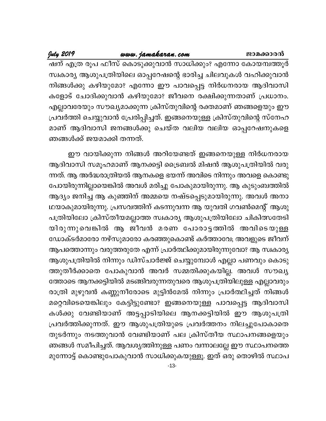#### www.jamakaran.com

July 2019

ഷന് എത്ര രൂപ ഫീസ് കൊടുക്കുവാൻ സാധിക്കും? എന്നോ കോയമ്പത്തൂർ സ്വകാര്യ ആശുപത്രിയിലെ ഓപ്പറേഷന്റെ ഭാരിച്ച ചിലവുകൾ വഹിക്കുവാൻ നിങ്ങൾക്കു കഴിയുമോ? എന്നോ ഈ പാവപ്പെട്ട നിർധനരായ ആദിവാസി കളോട് ചോദിക്കുവാൻ കഴിയുമോ? ജീവനെ രക്ഷിക്കുന്നതാണ് പ്രധാനം. എല്ലാവരേയും സൗഖ്യമാക്കുന്ന ക്രിസ്തുവിന്റെ രക്തമാണ് ഞങ്ങളെയും ഈ പ്രവർത്തി ചെയ്യുവാൻ പ്രേരിപ്പിച്ചത്. ഇങ്ങനെയുള്ള ക്രിസ്തുവിന്റെ സ്നേഹ മാണ് ആദിവാസി ജനങ്ങൾക്കു ചെയ്ത വലിയ വലിയ ഓപ്പറേഷനുകളെ ഞങ്ങൾക്ക് ജയമാക്കി തന്നത്.

ഈ വായിക്കുന്ന നിങ്ങൾ അറിയേണ്ടത് ഇങ്ങനെയുള്ള നിർധനരായ ആദിവാസി സമൂഹമാണ് ആനക്കട്ടി ട്രൈബൽ മിഷൻ ആശുപത്രിയിൽ വരു ന്നത്. ആ അർദ്ധരാത്രിയൽ ആനകളെ ഭയന്ന് അവിടെ നിന്നും അവളെ കൊണ്ടു പോയിരുന്നില്ലായെങ്കിൽ അവൾ മരിച്ചു പോകുമായിരുന്നു. ആ കുടുംബത്തിൽ ആദ്യം ജനിച്ച ആ കുഞ്ഞിന് അമ്മയെ നഷ്ടപ്പെടുമായിരുന്നു. അവൾ അനാ ഥയാകുമായിരുന്നു. പ്രസവത്തിന് കടന്നുവന്ന ആ യുവതി ഗവൺമെന്റ് ആശു പത്രിയിലോ ക്രിസ്തീയമല്ലാത്ത സ്വകാര്യ ആശുപത്രിയിലോ ചികിത്സതേടി യിരുന്നുവെങ്കിൽ ആ ജീവൻ മരണ പോരാട്ടത്തിൽ അവിടെയുള്ള ഡോക്ടർമാരോ നഴ്സുമാരോ കരഞ്ഞുകൊണ്ട് കർത്താവേ; അവളുടെ ജീവന് ആപത്തൊന്നും വരുത്തരുതേ എന്ന് പ്രാർത്ഥിക്കുമായിരുന്നുവോ? ആ സ്വകാര്യ ആശുപത്രിയിൽ നിന്നും ഡിസ്ചാർജ്ജ് ചെയ്യുമ്പോൾ എല്ലാ പണവും കൊടു ത്തുതീർക്കാതെ പോകുവാൻ അവർ സമ്മതിക്കുകയില്ല. അവൾ സൗഖ്യ ത്തോടെ ആനക്കട്ടിയിൽ മടങ്ങിവരുന്നതുവരെ ആശുപത്രിയിലുള്ള എല്ലാവരും രാത്രി മുഴുവൻ കണ്ണുനീരോടെ മുട്ടിൻമേൽ നിന്നും പ്രാർത്ഥിച്ചത് നിങ്ങൾ മറ്റെവിടെയെങ്കിലും കേട്ടിട്ടുണ്ടോ? ഇങ്ങനെയുള്ള പാവപ്പെട്ട ആദിവാസി കൾക്കു വേണ്ടിയാണ് അട്ടപ്പാടിയിലെ ആനക്കട്ടിയിൽ ഈ ആശുപത്രി പ്രവർത്തിക്കുന്നത്. ഈ ആശുപത്രിയുടെ പ്രവർത്തനം നിലച്ചുപോകാതെ തുടർന്നും നടത്തുവാൻ വേണ്ടിയാണ് പല ക്രിസ്തീയ സ്ഥാപനങ്ങളെയും ഞങ്ങൾ സമീപിച്ചത്. ആവശ്യത്തിനുള്ള പണം വന്നാലല്ലേ ഈ സ്ഥാപനത്തെ മുന്നോട്ട് കൊണ്ടുപോകുവാൻ സാധിക്കുകയുള്ളൂ. ഇത് ഒരു തൊഴിൽ സ്ഥാപ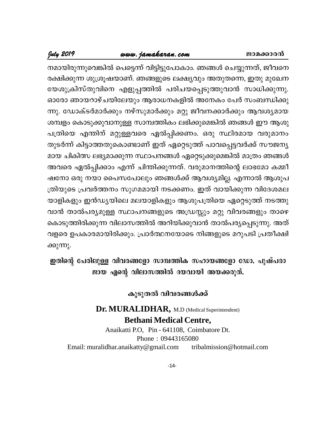#### www.jamakaran.com

# July 2019

നമായിരുന്നുവെങ്കിൽ പെട്ടെന്ന് വിട്ടിട്ടുപോകാം. ഞങ്ങൾ ചെയ്യുന്നത്, ജീവനെ രക്ഷിക്കുന്ന ശുശ്രൂഷയാണ്. ഞങ്ങളുടെ ലക്ഷ്യവും അതുതന്നെ, ഇതു മുഖേന യേശുക്രിസ്തുവിനെ എളുപ്പത്തിൽ പരിചയപ്പെടുത്തുവാൻ സാധിക്കുന്നു. ഓരോ ഞായറാഴ്ചയിലേയും ആരാധനകളിൽ അനേകം പേർ സംബന്ധിക്കു ന്നു. ഡോക്ടർമാർക്കും നഴ്സുമാർക്കും മറ്റു ജീവനക്കാർക്കും ആവശ്യമായ ശമ്പളം കൊടുക്കുവാനുള്ള സാമ്പത്തികം ലഭിക്കുമെങ്കിൽ ഞങ്ങൾ ഈ ആശു പത്രിയെ എന്തിന് മറ്റുള്ളവരെ ഏൽപ്പിക്കണം. ഒരു സ്ഥിരമായ വരുമാനം തുടർന്ന് കിട്ടാത്തതുകൊണ്ടാണ് ഇത് ഏറ്റെടുത്ത് പാവപ്പെട്ടവർക്ക് സൗജന്യ മായ ചികിത്സ ലഭ്യമാക്കുന്ന സ്ഥാപനങ്ങൾ ഏറ്റെടുക്കുമെങ്കിൽ മാത്രം ഞങ്ങൾ അവരെ ഏൽപ്പിക്കാം എന്ന് ചിന്തിക്കുന്നത്. വരുമാനത്തിന്റെ ലാഭമോ കമ്മീ ഷനോ ഒരു നയാ പൈസപോലും ഞങ്ങൾക്ക് ആവശ്യമില്ല. എന്നാൽ ആശുപ ത്രിയുടെ പ്രവർത്തനം സുഗമമായി നടക്കണം. ഇത് വായിക്കുന്ന വിദേശമല യാളികളും ഇൻഡ്യയിലെ മലയാളികളും ആശുപത്രിയെ ഏറ്റെടുത്ത് നടത്തു വാൻ താൽപര്യമുള്ള സ്ഥാപനങ്ങളുടെ അഡ്രസ്സും മറ്റു വിവരങ്ങളും താഴെ കൊടുത്തിരിക്കുന്ന വിലാസത്തിൽ അറിയിക്കുവാൻ താൽപര്യപ്പെടുന്നു. അത് വളരെ ഉപകാരമായിരിക്കും. പ്രാർത്ഥനയോടെ നിങ്ങളുടെ മറുപടി പ്രതീക്ഷി ക്കുന്നു.

ഇതിന്റെ പേരിലുള്ള വിവരങ്ങളോ സാമ്പത്തിക സഹായങ്ങളോ ഡോ. പുഷ്പരാ ജായ എന്റെ വിലാസത്തിൽ ദയവായി അയക്കരുത്.

## കൂടുതൽ വിവരങ്ങൾക്ക്

# Dr. MURALIDHAR, M.D (Medical Superintendent) **Bethani Medical Centre,**

Anaikatti P.O. Pin - 641108. Coimbatore Dt. Phone: 09443165080 Email: muralidhar.anaikatty@gmail.com tribalmission@hotmail.com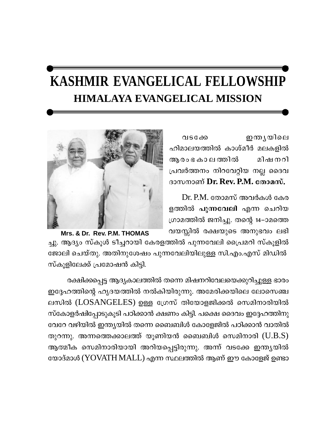# KASHMIR EVANGELICAL FELLOWSHIP **HIMALAYA EVANGELICAL MISSION**

ഇന്തൃയിലെ വടക്കേ ഹിമാലയത്തിൽ കാശ്മീർ മലകളിൽ ആരം ഭ കാ ല ത്തിൽ മിഷനറി പ്രവർത്തനം നിറവേറ്റിയ നല്ല ദൈവ ദാസനാണ് Dr. Rev. P.M. തോമസ്.

 $Dr. P.M.$  തോമസ് അവർകൾ കേര ളത്തിൽ പുന്നവേലി എന്ന ചെറിയ ഗ്രാമത്തിൽ ജനിച്ചു. തന്റെ 14–ാമത്തെ വയസ്സിൽ രക്ഷയുടെ അനുഭവം ലഭി



Mrs. & Dr. Rev. P.M. THOMAS ച്ചു. ആദ്യം സ്കൂൾ ടീച്ചറായി കേരളത്തിൽ പുന്നവേലി പ്രൈമറി സ്കൂളിൽ ജോലി ചെയ്തു. അതിനുശേഷം പുന്നവേലിയിലുള്ള സി.എം.എസ് മിഡിൽ സ്കുളിലേക്ക് പ്രമോഷൻ കിട്ടി.

രക്ഷിക്കപ്പെട്ട ആദ്യകാലത്തിൽ തന്നെ മിഷനറിവേലയെക്കുറിച്ചുള്ള ഭാരം ഇദ്ദേഹത്തിന്റെ ഹൃദയത്തിൽ നൽകിയിരുന്നു. അമേരിക്കയിലെ ലോസെഞ്ച ലസിൽ (LOSANGELES) ഉള്ള ഗ്രേസ് തിയോളജിക്കൽ സെമിനാരിയിൽ സ്കോളർഷിപ്പോടുകൂടി പഠിക്കാൻ ക്ഷണം കിട്ടി. പക്ഷെ ദൈവം ഇദ്ദേഹത്തിനു വേറേ വഴിയിൽ ഇന്ത്യയിൽ തന്നെ ബൈബിൾ കോളേജിൽ പഠിക്കാൻ വാതിൽ തുറന്നു. അന്നത്തെക്കാലത്ത് യൂണിയൻ ബൈബിൾ സെമിനാരി  $( U.B.S )$ ആത്മീക സെമിനാരിയായി അറിയപ്പെട്ടിരുന്നു. അന്ന് വടക്കേ ഇന്ത്യയിൽ യോദ്മാൾ (YOVATH MALL) എന്ന സ്ഥലത്തിൽ ആണ് ഈ കോളേജ് ഉണ്ടാ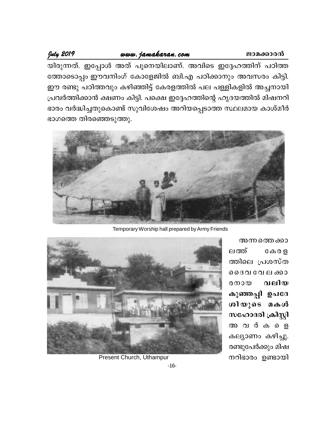#### www.jamakaran.com

July 2019

ജാമക്കാരൻ

യിരുന്നത്. ഇപ്പോൾ അത് പൂനെയിലാണ്. അവിടെ ഇദ്ദേഹത്തിന് പഠിത്ത ത്തോടൊപ്പം ഈവനിംഗ് കോളേജിൽ ബി.എ പഠിക്കാനും അവസരം കിട്ടി. ഈ രണ്ടു പഠിത്തവും കഴിഞ്ഞിട്ട് കേരളത്തിൽ പല പള്ളികളിൽ അച്ചനായി പ്രവർത്തിക്കാൻ ക്ഷണം കിട്ടി. പക്ഷെ ഇദ്ദേഹത്തിന്റെ ഹൃദയത്തിൽ മിഷനറി ഭാരം വർദ്ധിച്ചതുകൊണ്ട് സുവിശേഷം അറിയപ്പെടാത്ത സ്ഥലമായ കാശ്മീർ ഭാഗത്തെ തിരഞ്ഞെടുത്തു.



Temporary Worship hall prepared by Army Friends



അന്നത്തെ ക്കാ ലത്ത്  $C \oplus 0$   $B$ ത്തിലെ പ്രശസ്ത റൈവവേലക്കാ വലിയ  $@$   $@$   $@$ കുഞ്ഞപ്പി ഉപദേ ശിയുടെ മകൾ സഹോദരി ക്രിസ്റ്റി അവർകളെ കല്യാണം കഴിച്ചു. രണ്ടുപേർക്കും മിഷ നറിഭാരം ഉണ്ടായി

Present Church, Uthampur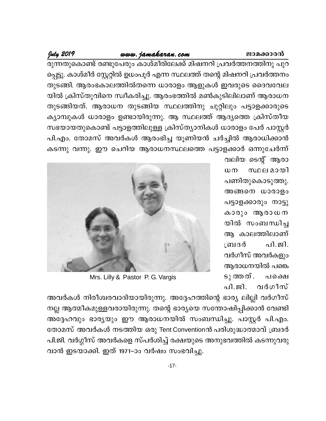#### www.jamakaran.com

# July 2019

രുന്നതുകൊണ്ട് രണ്ടുപേരും കാശ്മീരിലേക്ക് മിഷനറി പ്രവർത്തനത്തിനു പുറ പ്പെട്ടു. കാശ്മീർ സ്റ്റേറ്റിൽ ഉധംപൂർ എന്ന സ്ഥലത്ത് തന്റെ മിഷനറി പ്രവർത്തനം തുടങ്ങി. ആരംഭകാലത്തിൽതന്നെ ധാരാളം ആളുകൾ ഇവരുടെ ദൈവവേല യിൽ ക്രിസ്തുവിനെ സ്വീകരിച്ചു. ആരംഭത്തിൽ മൺകുടിലിലാണ് ആരാധന തുടങ്ങിയത്. ആരാധന തുടങ്ങിയ സ്ഥലത്തിനു ചുറ്റിലും പട്ടാളക്കാരുടെ ക്യാമ്പുകൾ ധാരാളം ഉണ്ടായിരുന്നു. ആ സ്ഥലത്ത് ആദ്യത്തെ ക്രിസ്തീയ സഭയായതുകൊണ്ട് പട്ടാളത്തിലുള്ള ക്രിസ്ത്യാനികൾ ധാരാളം പേർ പാസ്റ്റർ പി.എം. തോമസ് അവർകൾ ആരംഭിച്ച യൂണിയൻ ചർച്ചിൽ ആരാധിക്കാൻ കടന്നു വന്നു. ഈ ചെറിയ ആരാധനസ്ഥലത്തെ പട്ടാളക്കാർ ഒന്നുചേർന്ന്

> വലിയ ടെന്റ് ആരാ  $\omega$  m സ്ഥലമായി പണിതുകൊടുത്തു. അങ്ങനെ ധാരാളം പട്ടാളക്കാരും നാട്ടു കാരും ആരാധന യിൽ സംബന്ധിച്ച ആ കാലത്തിലാണ് പി.ജി. ബ്രദർ വർഗീസ് അവർകളും ആരാധനയിൽ പങ്കെ  $S<sub>\lambda</sub>$  ത്തത്. പക്ഷെ പി.ജി. വർഗീസ്



Mrs. Lilly & Pastor P. G. Vargis

അവർകൾ നിരീശ്വരവാദിയായിരുന്നു. അദ്ദേഹത്തിന്റെ ഭാര്യ ലില്ലി വർഗീസ് നല്ല ആത്മീകമുള്ളവരായിരുന്നു. തന്റെ ഭാര്യയെ സന്തോഷിപ്പിക്കാൻ വേണ്ടി അദ്ദേഹവും ഭാര്യയും ഈ ആരാധനയിൽ സംബന്ധിച്ചു. പാസ്റ്റർ പി.എം. തോമസ് അവർകൾ നടത്തിയ ഒരു Tent Conventionൻ പരിശുദ്ധാത്മാവ് ബ്രദർ പി.ജി. വർഗ്ഗീസ് അവർകളെ സ്പർശിച്ച് രക്ഷയുടെ അനുഭവത്തിൽ കടന്നുവരു വാൻ ഇടയാക്കി. ഇത് 1971–ാം വർഷം സംഭവിച്ചു.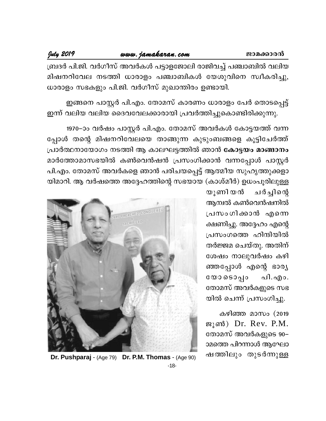www.jamakaran.com

#### July 2019

ബ്രദർ പി.ജി. വർഗീസ് അവർകൾ പട്ടാളജോലി രാജിവച്ച് പഞ്ചാബിൽ വലിയ മിഷനറിവേല നടത്തി ധാരാളം പഞ്ചാബികൾ യേശുവിനെ സ്വീകരിച്ചു, ധാരാളം സഭകളും പി.ജി. വർഗീസ് മുഖാന്തിരം ഉണ്ടായി.

ഇങ്ങനെ പാസ്റ്റർ പി.എം. തോമസ് കാരണം ധാരാളം പേർ തൊടപ്പെട്ട് ഇന്ന് വലിയ വലിയ ദൈവവേലക്കാരായി പ്രവർത്തിച്ചുകൊണ്ടിരിക്കുന്നു.

1970–ാം വർഷം പാസ്റ്റർ പി.എം. തോമസ് അവർകൾ കോട്ടയത്ത് വന്ന പ്പോൾ തന്റെ മിഷനറിവേലയെ താങ്ങുന്ന കുടുംബങ്ങളെ കൂട്ടിചേർത്ത് പ്രാർത്ഥനായോഗം നടത്തി ആ കാലഘട്ടത്തിൽ ഞാൻ കോട്ടയം മാങ്ങാനം മാർത്തോമാസഭയിൽ കൺവെൻഷൻ പ്രസംഗിക്കാൻ വന്നപ്പോൾ പാസ്റ്റർ പി.എം. തോമസ് അവർകളെ ഞാൻ പരിചയപ്പെട്ട് ആത്മീയ സുഹൃത്തുക്കളാ യിമാറി. ആ വർഷത്തെ അദ്ദേഹത്തിന്റെ സഭയായ (കാശ്മീർ) ഉധംപൂരിലുള്ള

> യൂണി യൻ ചർച്ചിന്റെ ആമ്പൽ കൺവെൻഷനിൽ പ്രസംഗിക്കാൻ എന്നെ ക്ഷണിച്ചു. അദ്ദേഹം എന്റെ പ്രസംഗത്തെ ഹിന്ദിയിൽ തർജ്ജമ ചെയ്തു. അതിന് ശേഷം നാലുവർഷം കഴി ഞ്ഞപ്പോൾ എന്റെ ഭാര്യ പി.എം.  $@000050q$ o തോമസ് അവർകളുടെ സഭ യിൽ ചെന്ന് പ്രസംഗിച്ചു.

> കഴിഞ്ഞ മാസം (2019 ജൂൺ) Dr. Rev. P.M. തോമസ് അവർകളുടെ 90– ാമത്തെ പിറന്നാൾ ആഘോ ഷത്തിലും തുടർന്നുള്ള



Dr. Pushparaj - (Age 79) Dr. P.M. Thomas - (Age 90)  $-18-$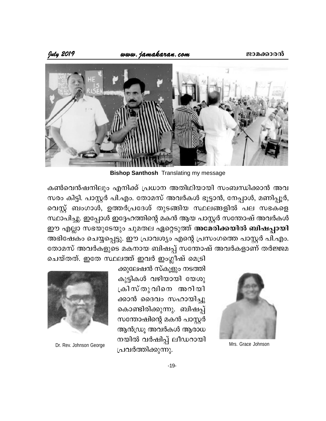

**Bishop Santhosh Translating my message** 

കൺവെൻഷനിലും എനിക്ക് പ്രധാന അതിഥിയായി സംബന്ധിക്കാൻ അവ സരം കിട്ടി. പാസ്റ്റർ പി.എം. തോമസ് അവർകൾ ഭൂട്ടാൻ, നേപ്പാൾ, മണിപ്പൂർ, വെസ്റ്റ് ബംഗാൾ, ഉത്തർപ്രദേശ് തുടങ്ങിയ സ്ഥലങ്ങളിൽ പല സഭകളെ സ്ഥാപിച്ചു. ഇപ്പോൾ ഇദ്ദേഹത്തിന്റെ മകൻ ആയ പാസ്റ്റർ സന്തോഷ് അവർകൾ ഈ എല്ലാ സഭയുടേയും ചുമതല ഏറ്റെടുത്ത് അമേരിക്കയിൽ ബിഷപ്പായി അഭിഷേകം ചെയ്യപ്പെട്ടു. ഈ പ്രാവശ്യം എന്റെ പ്രസംഗത്തെ പാസ്റ്റർ പി.എം. തോമസ് അവർകളുടെ മകനായ ബിഷപ്പ് സന്തോഷ് അവർകളാണ് തർജ്ജമ



Mrs. Grace Johnson

ചെയ്തത്. ഇതേ സ്ഥലത്ത് ഇവർ ഇംഗ്ലീഷ് മെട്രി ക്കുലേഷൻ സ്കൂളും നടത്തി കുട്ടികൾ വഴിയായി യേശു ക്രിസ്തുവിനെ അറിയി ക്കാൻ ദൈവം സഹായിച്ചു കൊണ്ടിരിക്കുന്നു. ബിഷപ്പ് സന്തോഷിന്റെ മകൻ പാസ്റ്റർ ആൻഡ്രൂ അവർകൾ ആരാധ നയിൽ വർഷിപ്പ് ലീഡറായി പ്രവർത്തിക്കുന്നു.



Dr. Rev. Johnson George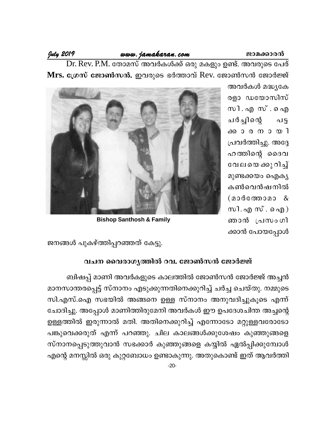#### www.jamakaran.com

July 2019

Dr. Rev. P.M. തോമസ് അവർകൾക്ക് ഒരു മകളും ഉണ്ട്. അവരുടെ പേര് Mrs. ഗ്രേസ് ജോൺസൻ. ഇവരുടെ ഭർത്താവ് Rev. ജോൺസൻ ജോർജ്ജ്

> അവർകൾ മദ്ധ്യകേ രളാ ഡയോസിസ് സി. എസ്. ഐ ചർച്ചിന്റെ  $\Omega$ ക്കാരനായി പ്രവർത്തിച്ചു. അദ്ദേ ഹത്തിന്റെ ദൈവ വേലയെക്കുറിച്ച് മുണ്ടക്കയം ഐക്യ കൺവെൻഷനിൽ (മാർത്തോമാ & സി. എസ്. ഐ $)$ ഞാൻ പ്രസംഗി ക്കാൻ പോയപ്പോൾ



**Bishop Santhosh & Family** 

ജനങ്ങൾ പുകഴ്ത്തിപ്പറഞ്ഞത് കേട്ടു.

# വചന വൈരാഗൃത്തിൽ റവ. ജോൺസൻ ജോർജ്ജ്

ബിഷപ്പ് മാണി അവർകളുടെ കാലത്തിൽ ജോൺസൻ ജോർജ്ജ് അച്ചൻ മാനസാന്തരപ്പെട്ട് സ്നാനം എടുക്കുന്നതിനെക്കുറിച്ച് ചർച്ച ചെയ്തു. നമ്മുടെ സി.എസ്.ഐ സഭയിൽ അങ്ങനെ ഉള്ള സ്നാനം അനുവദിച്ചുകൂടെ എന്ന് ചോദിച്ചു. അപ്പോൾ മാണിത്തിരുമേനി അവർകൾ ഈ ഉപദേശചിന്ത അച്ചന്റെ ഉള്ളത്തിൽ ഇരുന്നാൽ മതി. അതിനെക്കുറിച്ച് എന്നോടോ മറ്റുള്ളവരോടോ പങ്കുവെക്കരുത് എന്ന് പറഞ്ഞു. ചില കാലങ്ങൾക്കുശേഷം കുഞ്ഞുങ്ങളെ സ്നാനപ്പെടുത്തുവാൻ സഭക്കാർ കുഞ്ഞുങ്ങളെ കയ്യിൽ ഏൽപ്പിക്കുമ്പോൾ എന്റെ മനസ്സിൽ ഒരു കുറ്റബോധം ഉണ്ടാകുന്നു. അതുകൊണ്ട് ഇത് ആവർത്തി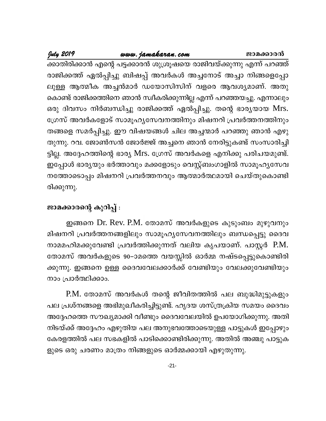# www.jamakaran.com

ജാമക്കാരൻ

\_<br>ക്കാതിരിക്കാൻ എന്റെ പട്ടക്കാരൻ ശുശ്രൂഷയെ രാജിവയ്ക്കുന്നു എന്ന് പറഞ്ഞ് രാജിക്കത്ത് ഏൽപ്പിച്ചു ബിഷപ്പ് അവർകൾ അച്ചനോട് അച്ചാ നിങ്ങളെപ്പോ ലുള്ള ആത്മീക അച്ചൻമാർ ഡയോസിസിന് വളരെ ആവശ്യമാണ്. അതു കൊണ്ട് രാജിക്കത്തിനെ ഞാൻ സ്വീകരിക്കുന്നില്ല എന്ന് പറഞ്ഞയച്ചു. എന്നാലും ഒരു ദിവസം നിർബന്ധിച്ചു രാജിക്കത്ത് ഏൽപ്പിച്ചു. തന്റെ ഭാര്യയായ Mrs. ഗ്രേസ് അവർകളോട് സാമൂഹ്യസേവനത്തിനും മിഷനറി പ്രവർത്തനത്തിനും തങ്ങളെ സമർപ്പിച്ചു. ഈ വിഷയങ്ങൾ ചില അച്ചന്മാർ പറഞ്ഞു ഞാൻ എഴു തുന്നു. റവ. ജോൺസൻ ജോർജ്ജ് അച്ചനെ ഞാൻ നേരിട്ടുകണ്ട് സംസാരിച്ചി ട്ടില്ല. അദ്ദേഹത്തിന്റെ ഭാര്യ Mrs. ഗ്രേസ് അവർകളെ എനിക്കു പരിചയമുണ്ട്. ഇപ്പോൾ ഭാര്യയും ഭർത്താവും മക്കളോടും വെസ്റ്റ്ബംഗാളിൽ സാമൂഹ്യസേവ നത്തോടൊപ്പം മിഷനറി പ്രവർത്തനവും ആത്മാർത്ഥമായി ചെയ്തുകൊണ്ടി രിക്കുന്നു.

# ജാമക്കാരന്റെ കുറിപ്പ് :

July 2019

ഇങ്ങനെ Dr. Rev. P.M. തോമസ് അവർകളുടെ കുടുംബം മുഴുവനും മിഷനറി പ്രവർത്തനങ്ങളിലും സാമൂഹ്യസേവനത്തിലും ബന്ധപ്പെട്ടു ദൈവ നാമമഹിമക്കുവേണ്ടി പ്രവർത്തിക്കുന്നത് വലിയ കൃപയാണ്. പാസ്റ്റർ P.M. തോമസ് അവർകളുടെ 90–ാമത്തെ വയസ്സിൽ ഓർമ്മ നഷ്ടപ്പെട്ടുകൊണ്ടിരി ക്കുന്നു. ഇങ്ങനെ ഉള്ള ദൈവവേലക്കാർക്ക് വേണ്ടിയും വേലക്കുവേണ്ടിയും നാം പ്രാർത്ഥിക്കാം.

P.M. തോമസ് അവർകൾ തന്റെ ജീവിതത്തിൽ പല ബുദ്ധിമുട്ടുകളും പല പ്രശ്നങ്ങളെ അഭിമുഖീകരിച്ചിട്ടുണ്ട്. ഹൃദയ ശസ്ത്രക്രിയ സമയം ദൈവം അദ്ദേഹത്തെ സൗഖ്യമാക്കി വീണ്ടും ദൈവവേലയിൽ ഉപയോഗിക്കുന്നു. അതി നിടയ്ക്ക് അദ്ദേഹം എഴുതിയ പല അനുഭവത്തോടെയുള്ള പാട്ടുകൾ ഇപ്പോഴും കേരളത്തിൽ പല സഭകളിൽ പാടിക്കൊണ്ടിരിക്കുന്നു. അതിൽ അഞ്ചു പാട്ടുക ളുടെ ഒരു ചരണം മാത്രം നിങ്ങളുടെ ഓർമ്മക്കായി എഴുതുന്നു.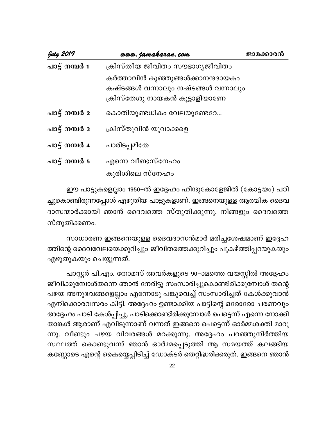| July 2019      | www.jamakaran.com                                                                                         | ജാമക്കാരൻ |
|----------------|-----------------------------------------------------------------------------------------------------------|-----------|
| പാട്ട് നമ്പർ 1 | ക്രിസ്തീയ ജീവിതം സൗഭാഗ്യജീവിതം                                                                            |           |
|                | കർത്താവിൻ കുഞ്ഞുങ്ങൾക്കാനന്ദദായകം<br>കഷ്ടങ്ങൾ വന്നാലും നഷ്ടങ്ങൾ വന്നാലും<br>ക്രിസ്തേശു നായകൻ കൂട്ടാളിയാണേ |           |
| പാട്ട് നമ്പർ 2 | കൊതിയുണ്ടധികം വേലയുണ്ടേറേ                                                                                 |           |
| പാട്ട് നമ്പർ ദ | ക്രിസ്തുവിൻ യുവാക്കളെ                                                                                     |           |
| പാട്ട് നമ്പർ 4 | പാരിടപ്പമിതേ                                                                                              |           |
| പാട്ട് നമ്പർ 5 | എന്നെ വീണ്ടസ്നേഹം                                                                                         |           |
|                | കുരിശിലെ സ്നേഹം                                                                                           |           |

ഈ പാട്ടുകളെല്ലാം 1950–ൽ ഇദ്ദേഹം ഹിന്ദുകോളേജിൽ (കോട്ടയം) പഠി ച്ചുകൊണ്ടിരുന്നപ്പോൾ എഴുതിയ പാട്ടുകളാണ്. ഇങ്ങനെയുള്ള ആത്മീക ദൈവ ദാസന്മാർക്കായി ഞാൻ ദൈവത്തെ സ്തുതിക്കുന്നു. നിങ്ങളും ദൈവത്തെ സ്തുതിക്കണം.

സാധാരണ ഇങ്ങനെയുള്ള ദൈവദാസൻമാർ മരിച്ചശേഷമാണ് ഇദ്ദേഹ ത്തിന്റെ ദൈവവേലയെക്കുറിച്ചും ജീവിതത്തെക്കുറിച്ചും പുകഴ്ത്തിപ്പറയുകയും എഴുതുകയും ചെയ്യുന്നത്.

പാസ്റ്റർ പി.എം. തോമസ് അവർകളുടെ 90–ാമത്തെ വയസ്സിൽ അദ്ദേഹം ജീവിക്കുമ്പോൾതന്നെ ഞാൻ നേരിട്ടു സംസാരിച്ചുകൊണ്ടിരിക്കുമ്പോൾ തന്റെ പഴയ അനുഭവങ്ങളെല്ലാം എന്നോടു പങ്കുവെച്ച് സംസാരിച്ചത് കേൾക്കുവാൻ എനിക്കൊരവസരം കിട്ടി. അദ്ദേഹം ഉണ്ടാക്കിയ പാട്ടിന്റെ ഒരോരോ ചരണവും അദ്ദേഹം പാടി കേൾപ്പിച്ചു. പാടിക്കൊണ്ടിരിക്കുമ്പോൾ പെട്ടെന്ന് എന്നെ നോക്കി താങ്കൾ ആരാണ് എവിടുന്നാണ് വന്നത് ഇങ്ങനെ പെട്ടെന്ന് ഓർമ്മശക്തി മാറു ന്നു. വീണ്ടും പഴയ വിവരങ്ങൾ മറക്കുന്നു. അദ്ദേഹം പറഞ്ഞുനിർത്തിയ സ്ഥലത്ത് കൊണ്ടുവന്ന് ഞാൻ ഓർമ്മപ്പെടുത്തി ആ സമയത്ത് കലങ്ങിയ കണ്ണോടെ എന്റെ കൈയ്യെപ്പിടിച്ച് ഡോക്ടർ തെറ്റിദ്ധരിക്കരുത്. ഇങ്ങനെ ഞാൻ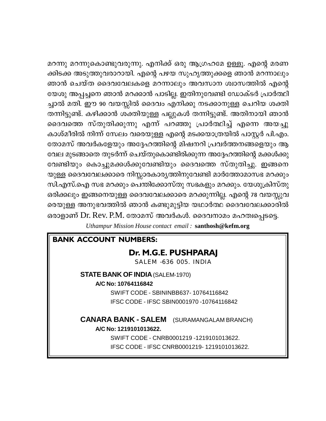മറന്നു മറന്നുകൊണ്ടുവരുന്നു. എനിക്ക് ഒരു ആഗ്രഹമേ ഉള്ളൂ. എന്റെ മരണ ക്കിടക്ക അടുത്തുവരാറായി. എന്റെ പഴയ സുഹൃത്തുക്കളെ ഞാൻ മറന്നാലും ഞാൻ ചെയ്ത ദൈവവേലകളെ മറന്നാലും അവസാന ശ്വാസത്തിൽ എന്റെ യേശു അപ്പച്ചനെ ഞാൻ മറക്കാൻ പാടില്ല. ഇതിനുവേണ്ടി ഡോക്ടർ പ്രാർത്ഥി ച്ചാൽ മതി. ഈ 90 വയസ്സിൽ ദൈവം എനിക്കു നടക്കാനുള്ള ചെറിയ ശക്തി തന്നിട്ടുണ്ട്. കഴിക്കാൻ ശക്തിയുള്ള പല്ലുകൾ തന്നിട്ടുണ്ട്. അതിനായി ഞാൻ ദൈവത്തെ സ്തുതിക്കുന്നു എന്ന് പറഞ്ഞു പ്രാർത്ഥിച്ച് എന്നെ അയച്ചു കാശ്മീരിൽ നിന്ന് സേലം വരെയുള്ള എന്റെ മടക്കയാത്രയിൽ പാസ്റ്റർ പി.എം. തോമസ് അവർകളേയും അദ്ദേഹത്തിന്റെ മിഷനറി പ്രവർത്തനങ്ങളെയും ആ വേല മുടങ്ങാതെ തുടർന്ന് ചെയ്തുകൊണ്ടിരിക്കുന്ന അദ്ദേഹത്തിന്റെ മക്കൾക്കു വേണ്ടിയും കൊച്ചുമക്കൾക്കുവേണ്ടിയും ദൈവത്തെ സ്തുതിച്ചു. ഇങ്ങനെ യുള്ള ദൈവവേലക്കാരെ നിസ്സാരകാര്യത്തിനുവേണ്ടി മാർത്തോമാസഭ മറക്കും സി.എസ്.ഐ സഭ മറക്കും പെന്തിക്കോസ്തു സഭകളും മറക്കും. യേശുക്രിസ്തു ഒരിക്കലും ഇങ്ങനെയുള്ള ദൈവവേലക്കാരെ മറക്കുന്നില്ല. എന്റെ 78 വയസ്സുവ രെയുള്ള അനുഭവത്തിൽ ഞാൻ കണ്ടുമുട്ടിയ യഥാർത്ഥ ദൈവവേലക്കാരിൽ ഒരാളാണ് Dr. Rev. P.M. തോമസ് അവർകൾ. ദൈവനാമം മഹത്വപ്പെടട്ടെ.

Uthampur Mission House contact email: santhosh@kefm.org

# **BANK ACCOUNT NUMBERS:**

# Dr. M.G.E. PUSHPARAI

SALEM -636 005. INDIA

#### **STATE BANK OF INDIA (SALEM-1970)**

#### A/C No: 10764116842

SWIFT CODE - SBININBB637-10764116842 IFSC CODE - IFSC SBIN0001970 -10764116842

## **CANARA BANK - SALEM** (SURAMANGALAM BRANCH) A/C No: 1219101013622.

SWIFT CODE - CNRB0001219 -1219101013622. IFSC CODE - IFSC CNRB0001219-1219101013622.